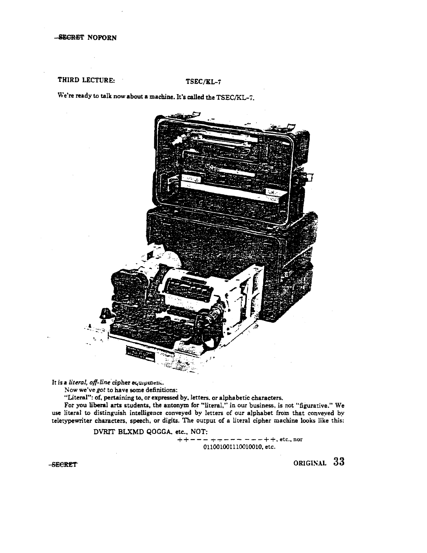# THIRD LECTURE: TSEC/KL-7

We're ready to talk now about a machine. It's called the TSEC/KL-7.



It is a *literal, off-line* cipher equipment.

Now we've *got* to have some definitions:

"Literal": of, pertaining to, or expressed by, letters. or alphabetic characters.

For you liberal arts students, the antonym for "literal," in our business, is not "figurative." We use literal to distinguish intelligence conveyed by letters of our alphabet from that conveyed by teletypewriter characters, speech, or digits. The output of a literal cipher machine looks like this:

DVRIT BLXMD QOGGA. etc., NOT:

 $++---+--------++$ , etc., nor 011001001110010010,etc.

-SECRET

ORIGISAL 33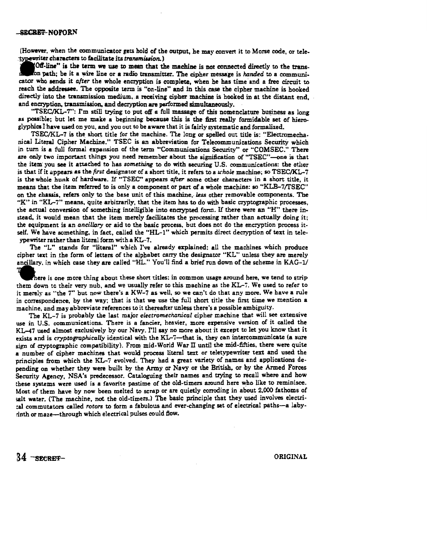### -SECRET-NOFORN

(However, when the communicator gets hold of the output, he may convert it to Morse code, or tele-<br>typewriter characters to facilitate its transmission.)

Experiment characters to facilitate its *transmission.*)<br>
Off-line" is the term we use to mean that the mon path; be it a wire line or a radio transmitt<br>
cetor who sends it *after* the whole encryption is a OB-line" ia the term we uae to mean that the machine is not connected directly to the transn path; be it a wire line or a radio transmitter. The cipher message is *handed* to a communicator who sends it *after* the whole encryption is complete, when he has time and a free circuit to reach the addressee. The opposite term is "on-line" and in this. case the cipher machine is hooked directly into the transmission medium, a receiving cipher machine is hooked in at the distant end, and encryption. transmission, and decryption are performed simultaneously.

"TSEC/KL-7": I'm still trying to put off a full massage of this nomenclature business as long as possible; but let me make a beginning because this is the first really formidable set of hieroglyphics I have used on you, and you out to be aware that it is fairly systematic and formalized.

TSEC/KL-7 is the short title for the machine. The long or spelled out title is: "Electromechanical Literal Cipher Machine." TSEC is an abbreviation for Telecommunications Security which in turn is a full formal expansion of the term "Communications Security" or "COMSEC." There are only two important things you need remember about the signification of "TSEC"-one is that the item· you see it attached to has *something* to do with securing U.S. communications: the other is that if it appears as the *first* designator of a short title, it refers to a *u:hole* machine; so TSEC/KL-7 is the whole hunk of hardware. If "TSEC" appears *after* some other characters in a short title, it means that the item referred to is only a component or part of a whole machine: so "KLB-7/TSEC" on the chassis, refers only to the base unit of this machine, less other removable components. The "K" in "KL-7" means, quite arbitrarily, that the item has to do with basic cryptographic processes, the actual conversion of something intelligible into encrypted form. If there were an "H" there instead, it would mean that the item merely facilitates the processing rather than actually doing it; the equipment is an *ancillary* or aid to the basic process, but does not do the encryption process itself. We have something, in fact, called the "HL-1" which permits direct decryption of text in teleypewriter rather than literal form with a KL-7.

The "L" stands for "literal" which I've already explained: all the machines which produce cipher text in the form of letters of the alphabet carry the designator "KL" unless they are merely ancillary. in which case they are called "HL." You'll find a brief run down of the scheme in KAG-1/

here is one more thing about these short titles: in common usage around here, we tend to strip them down to their very nub, and we usually refer to this machine as the KL-7. We used to refer to it merely as "the 7" but now there's a KW-7 as well, so we can't do that any more. We have a rule in correspondence, by the way; that is that we use the full short title the first time we mention a machine, and may abbreviate references to it thereafter unless there's a possible ambiguity.

The KL-7 is probably the last major *electromechanical* cipher machine that will see extensive use in U.S. communications. There is a fancier, heavier, more ezpensive version of it called the KL-47 used almost exclusively by our Navy. I'll say no more about it except to let you know that it exists and is *cryptographically* identical with the KL-7-that is, they can intercommunicate (a sure sign of cryptographic compatibility). From mid-World War II until the mid-fifties, there were quite a number of cipher machines that would process literal text or teletypewriter text and used the principles from which the KL-7 evolved. They had a great variety of names and applications depending on whether they were built by the Army or Navy or the British, or by the Armed Forces Security Agency, NSA's predecessor. Cataloguing their names and trying to recall where and how ehese systems were used is a favorite pastime of the old-timers around here who like to reminisce. Most of them have by now been melted to scrap or are quietly corroding in about 2,000 fathoms of salt water. (The machine, not the old-timers.) The basic principle that they used involves electrical commutators called *rotors* to form a fabulous and ever-changing set of electrical paths-a labyrinth or maze-through which electrical pulses could Bow.

 $34$   $-$  secret-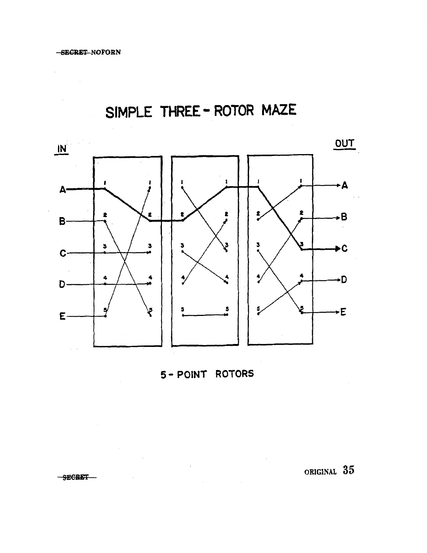$\mathcal{L}_{\mathcal{L}}$ 

SIMPLE THREE - ROTOR MAZE



5- POINT ROTORS

 $\label{eq:2.1} \frac{1}{\sqrt{2}}\left(\frac{1}{\sqrt{2}}\right)^{2} \left(\frac{1}{\sqrt{2}}\right)^{2} \left(\frac{1}{\sqrt{2}}\right)^{2} \left(\frac{1}{\sqrt{2}}\right)^{2} \left(\frac{1}{\sqrt{2}}\right)^{2} \left(\frac{1}{\sqrt{2}}\right)^{2} \left(\frac{1}{\sqrt{2}}\right)^{2} \left(\frac{1}{\sqrt{2}}\right)^{2} \left(\frac{1}{\sqrt{2}}\right)^{2} \left(\frac{1}{\sqrt{2}}\right)^{2} \left(\frac{1}{\sqrt{2}}\right)^{2} \left(\$ 

 $\mathcal{L}^{\text{max}}_{\text{max}}$ 

original 35

-SECRET-

 $\sim 10^{-10}$ 

 $\sim 10^{11}$  km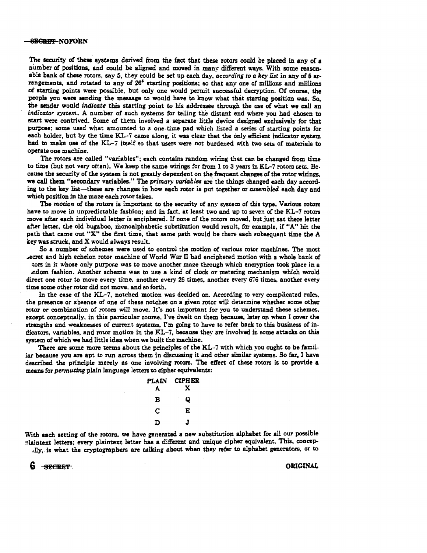### SECRET NOFORN

The security of these systems derived from the fact that these rotors could be placed in any of a number of positions, and could be aligned and moved in many different ways. With some reasonable bank of these rotors, say 5, they could be set up each day, *according to a* key *list* in any of 5 arrangements, and rotated to any of 26' starting positions; so that any one of millions and millions of &tarting points were possible, but only one would permit successful decryption. Of course, the people you were sending the message to would have to know what that starting position was. So, the sender would *indicate* this starting point to his addressee through the use of what we call an *indicator system*. A number of such systems for telling the distant end where you had chosen to start were contrived. Some of them involved a separate little device designed exclusively for that purpose; some used what amounted to a one-time pad which listed a series of starting points for each holder, but by the time KL-7 came along, it was clear that the only efficient indicator system had to make use of the KL-7 itself so that users were not burdened with two sets of materials to operate one machine.

The rotors are called "variables"; each contains random wiring that can be changed from time to time (but not very often). We keep the same wirings for from l to 3 years in KL-7 rotors sets. Because the security of the system is not greatly dependent on the frequent changes of the rotor wirings, we call them "secondary variables." The *primary uariables* are the things changed each day according to the key list-these are changes in how each rotor is put together or *assembled* each day and which position in the maze each rotor takes.

The *motion* of the rotors is important to the security of any system of this type. Various rotors have to move in unpredictable fashion; and in fact, at least two and up to seven of the KL-7 rotors move after each individual letter is enciphered. If none of the rotors moved, but just sat there letter after letter, the old bugaboo, monoalphabetic substitution would result, for example, if "A" hit the path that came out "X" the first time, that same path would be there each subsequent time the A key was struck, and X would always result.

So a number of schemes were used to control the motion of various rotor machines. The most ..ecret and high echelon rotor machine of World War II bad enciphered motion with a whole bank of tors in it whose only purpose was to move another maze through which encryption took place in a ,ndom fashion. Another scheme was to use a kind of clock or metering mechanism which would direct one rotor to move every time, another every 26 times, another every 676 times, another every

time some other rotor did not move. and so forth.

In the case of the KL-7, notched motion was decided on. According to very complicated rules. the presence or absence of one of these notches on a given rotor will determine whether some other rotor or combination of rotors will move. It's not important for you to understand these schemes, except conceptually, in this particular course. I've dwelt on them because, later on when I cover the strengths and weaknesses of current systems, I'm going to have to refer back to this business of indicators, variables, and rotor motion in the KL-7, because they are involved in some attacks on this system of which we had little idea when we built the machine.

There are some more terms about the principles of the KL-7 with which you ought to be familiar because you are apt to run across them in discussing it and other similar systems. So far, I have described the principle merely as one involving rotors. The effect of these rotors is to provide a meana for *permuting* plain language letters to cipher equivalents:

| PLAIN<br>А | <b>CIPHER</b><br>x |
|------------|--------------------|
| в<br>ł     | Q                  |
| С          | E                  |
| D          | J                  |

With each setting of the rotors, we have generated a new substitution alphabet for all our possible nlaintext letters; every plaintext letter has a different and unique cipher equivalent. This, concep-.Jly,. is what the cryptographers are talking about when they refer to alphabet generators, or to

6 SECRET.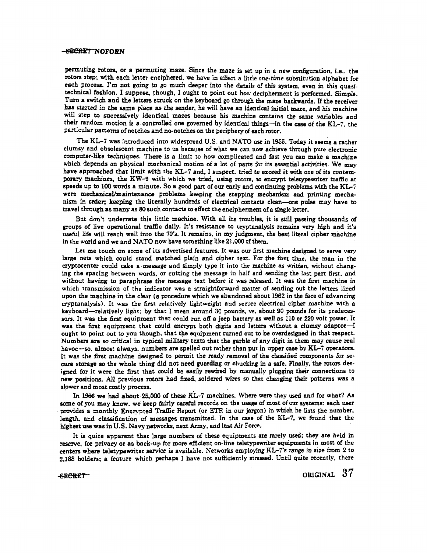## -SECRET NOFORN

permuting rotors, or a permuting maze. Since the maze is set up in a new configuration, i.e., the rotors step; with each letter enciphered, we have in effect a little *orni-time* substitution alphabet for each process. I'm not going to go much deeper into the details of this system, even in this quasitechnical fashion. I suppose, though, I ought to point out how decipherment is performed. Simple. Turn a switch and the letters struck on the keyboard go through the maze backwards. If the receiver has started in the same place as the sender, he will have an identical initial maze, and his machine will step to successively identical mazes because his machine contains the same variables and their random motion is a controlled one governed by identical things-in the case of the KL-7, the particular patterns of notches and no-notches on the periphery of each rotor.

The KL-7 was introduced into widespread U.S. and NATO use in 1955. Today it seems a rather clumsy and obsolescent machine to us because of what we can now achieve through pure electronic computer-like techniques. There is a limit to how complicated and fast you can make a machine which depends on physical mechanical motion of a lot of parts for its essential activities. We may have approached that limit with the KL-7 and, I suspect, tried *to* exceed it with one of its contemporary machines, the KW-9 with which we tried, using rotors, to encrypt teletypewriter traffic at speeds up to 100 words a minute. So a good part of our early and continuing problems with the  $KL-7$ were mecbanicaJ/maintenance problems keeping the stepping mechanism and printing mechanism in order; keeping the literally hundreds of electrical contacts clean-one pulse may have to travel through as many as 80 such contacts to effect the encipherment of a single letter.

But don't underrate this little machine. With all its troubles, it is still passing thousands of groups of live operational traffic daily. It's resistance to cryptanalysis remains very high and it's useful life will reach well into the 70's. It remains, in my judgment, the best literal cipher machine in the world and we and NATO now have something like 21.000 of them.

Let me touch on some of its advertised features. It was our first machine designed to serve very large nets which could stand matched plain and cipher text. For the first time, the man in the cryptocenter could take a message and simply type it into the machine as written, without changing the spacing between words, or cutting the message in half and sending the last part first. and without having to paraphrase the message text before it was released. It was the first machine in which transmission of the indicator was a straightforward matter of sending out the letters lined upon the machine in the clear (a procedure which we abandoned about 1962 in the face of advancing cryptanalysis). It was the first relatively lightweight and secure electrieal cipher machine with a keyboard-relatively light: by that I mean around 30 pounds, vs. about 90 pounds for its predecessors. It was the first equipment that could run off a jeep battery as well as 110 or 220 volt power. It was the first equipment that could encrypt both digits and letters without a clumsy adaptor-I ought to point out to you though, that the equipment turned out to be overdesigned in that respect. Numbers are so critical in typical military texts that the garble of any digit in them may cause real havoc-so, almost always, numbers are spelled out rather than put in upper case by KL-7 operators. It was the first machine designed to permit the ready removal of the classified components for secure storage so the whole thing did not need guarding or chucking in a safe. Finally, the rotors designed for it were the first that could be easily rewired by manually plugging their connections to new positions. All previous rotors had fixed, soldered wires so that changing their patterns was a slower and most costly process.

In 1966 we had about 25,000 of these KL-7 machines. Where were they used and for what? As some of you may know, we keep fairly careful records on the usage of most of our systems: each user provides a monthly Encrypted Traffic Report (or ETR in our jargon) in which he lists the number, length. and classification of messages transmitted. In the case of the KL-7, we found that the highest use was in U.S. Navy networks, nert Army, and last Air Force. ·

It is quite apparent that large numbers of these equipments are rarely used; they are held in reserve, for privacy or as back-up for more efficient on-line teletypewriter equipments in most of the centers where teletypewriter service is available. Networks employing KL-7's range in size from *2 to*  2,188 holders; a feature which perhaps I have not sufficiently stressed. Until quite recently, there

-secret original  $37$